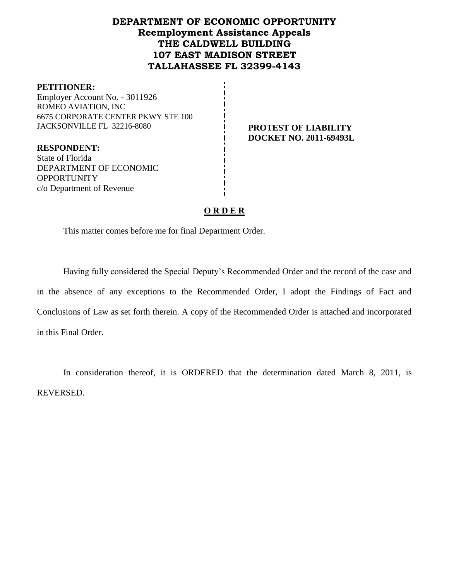## **DEPARTMENT OF ECONOMIC OPPORTUNITY Reemployment Assistance Appeals THE CALDWELL BUILDING 107 EAST MADISON STREET TALLAHASSEE FL 32399-4143**

#### **PETITIONER:**

Employer Account No. - 3011926 ROMEO AVIATION, INC 6675 CORPORATE CENTER PKWY STE 100 JACKSONVILLE FL 32216-8080 **PROTEST OF LIABILITY**

# **DOCKET NO. 2011-69493L**

**RESPONDENT:** State of Florida DEPARTMENT OF ECONOMIC **OPPORTUNITY** c/o Department of Revenue

## **O R D E R**

This matter comes before me for final Department Order.

Having fully considered the Special Deputy's Recommended Order and the record of the case and in the absence of any exceptions to the Recommended Order, I adopt the Findings of Fact and Conclusions of Law as set forth therein. A copy of the Recommended Order is attached and incorporated in this Final Order.

In consideration thereof, it is ORDERED that the determination dated March 8, 2011, is REVERSED.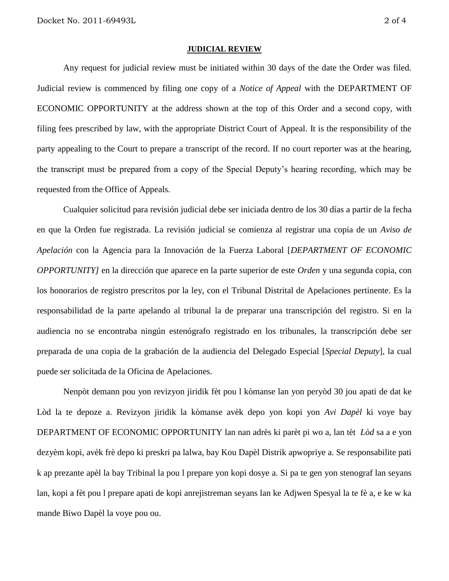#### **JUDICIAL REVIEW**

Any request for judicial review must be initiated within 30 days of the date the Order was filed. Judicial review is commenced by filing one copy of a *Notice of Appeal* with the DEPARTMENT OF ECONOMIC OPPORTUNITY at the address shown at the top of this Order and a second copy, with filing fees prescribed by law, with the appropriate District Court of Appeal. It is the responsibility of the party appealing to the Court to prepare a transcript of the record. If no court reporter was at the hearing, the transcript must be prepared from a copy of the Special Deputy's hearing recording, which may be requested from the Office of Appeals.

Cualquier solicitud para revisión judicial debe ser iniciada dentro de los 30 días a partir de la fecha en que la Orden fue registrada. La revisión judicial se comienza al registrar una copia de un *Aviso de Apelación* con la Agencia para la Innovación de la Fuerza Laboral [*DEPARTMENT OF ECONOMIC OPPORTUNITY]* en la dirección que aparece en la parte superior de este *Orden* y una segunda copia, con los honorarios de registro prescritos por la ley, con el Tribunal Distrital de Apelaciones pertinente. Es la responsabilidad de la parte apelando al tribunal la de preparar una transcripción del registro. Si en la audiencia no se encontraba ningún estenógrafo registrado en los tribunales, la transcripción debe ser preparada de una copia de la grabación de la audiencia del Delegado Especial [*Special Deputy*], la cual puede ser solicitada de la Oficina de Apelaciones.

Nenpòt demann pou yon revizyon jiridik fèt pou l kòmanse lan yon peryòd 30 jou apati de dat ke Lòd la te depoze a. Revizyon jiridik la kòmanse avèk depo yon kopi yon *Avi Dapèl* ki voye bay DEPARTMENT OF ECONOMIC OPPORTUNITY lan nan adrès ki parèt pi wo a, lan tèt *Lòd* sa a e yon dezyèm kopi, avèk frè depo ki preskri pa lalwa, bay Kou Dapèl Distrik apwopriye a. Se responsabilite pati k ap prezante apèl la bay Tribinal la pou l prepare yon kopi dosye a. Si pa te gen yon stenograf lan seyans lan, kopi a fèt pou l prepare apati de kopi anrejistreman seyans lan ke Adjwen Spesyal la te fè a, e ke w ka mande Biwo Dapèl la voye pou ou.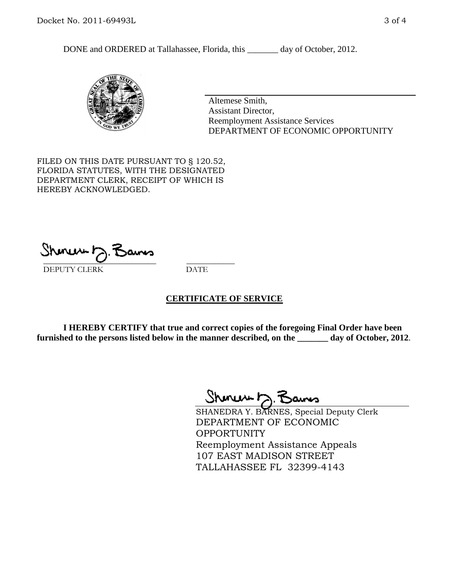DONE and ORDERED at Tallahassee, Florida, this \_\_\_\_\_\_\_ day of October, 2012.



Altemese Smith, Assistant Director, Reemployment Assistance Services DEPARTMENT OF ECONOMIC OPPORTUNITY

FILED ON THIS DATE PURSUANT TO § 120.52, FLORIDA STATUTES, WITH THE DESIGNATED DEPARTMENT CLERK, RECEIPT OF WHICH IS HEREBY ACKNOWLEDGED.

 $\overline{\phantom{a}}$  ,  $\overline{\phantom{a}}$  ,  $\overline{\phantom{a}}$  ,  $\overline{\phantom{a}}$  ,  $\overline{\phantom{a}}$  ,  $\overline{\phantom{a}}$  ,  $\overline{\phantom{a}}$  ,  $\overline{\phantom{a}}$ DEPUTY CLERK DATE

## **CERTIFICATE OF SERVICE**

**I HEREBY CERTIFY that true and correct copies of the foregoing Final Order have been furnished to the persons listed below in the manner described, on the \_\_\_\_\_\_\_ day of October, 2012**.

Shenux D.F

SHANEDRA Y. BARNES, Special Deputy Clerk DEPARTMENT OF ECONOMIC **OPPORTUNITY** Reemployment Assistance Appeals 107 EAST MADISON STREET TALLAHASSEE FL 32399-4143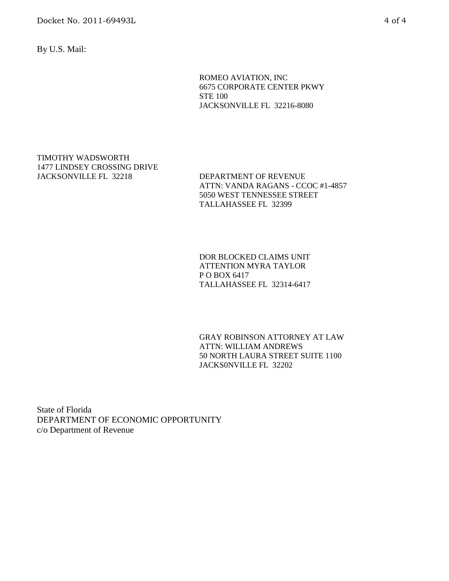Docket No. 2011-69493L 4 of 4

By U.S. Mail:

ROMEO AVIATION, INC 6675 CORPORATE CENTER PKWY STE 100 JACKSONVILLE FL 32216-8080

#### TIMOTHY WADSWORTH 1477 LINDSEY CROSSING DRIVE JACKSONVILLE FL 32218 DEPARTMENT OF REVENUE

ATTN: VANDA RAGANS - CCOC #1-4857 5050 WEST TENNESSEE STREET TALLAHASSEE FL 32399

DOR BLOCKED CLAIMS UNIT ATTENTION MYRA TAYLOR P O BOX 6417 TALLAHASSEE FL 32314-6417

GRAY ROBINSON ATTORNEY AT LAW ATTN: WILLIAM ANDREWS 50 NORTH LAURA STREET SUITE 1100 JACKS0NVILLE FL 32202

State of Florida DEPARTMENT OF ECONOMIC OPPORTUNITY c/o Department of Revenue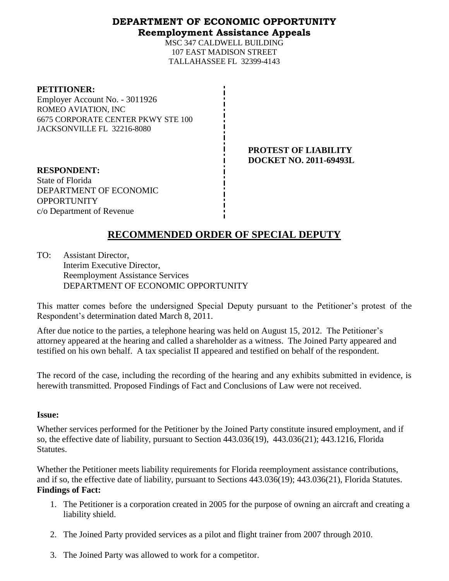## **DEPARTMENT OF ECONOMIC OPPORTUNITY Reemployment Assistance Appeals**

MSC 347 CALDWELL BUILDING 107 EAST MADISON STREET TALLAHASSEE FL 32399-4143

#### **PETITIONER:**

Employer Account No. - 3011926 ROMEO AVIATION, INC 6675 CORPORATE CENTER PKWY STE 100 JACKSONVILLE FL 32216-8080

> **PROTEST OF LIABILITY DOCKET NO. 2011-69493L**

**RESPONDENT:** State of Florida DEPARTMENT OF ECONOMIC **OPPORTUNITY** c/o Department of Revenue

# **RECOMMENDED ORDER OF SPECIAL DEPUTY**

TO: Assistant Director, Interim Executive Director, Reemployment Assistance Services DEPARTMENT OF ECONOMIC OPPORTUNITY

This matter comes before the undersigned Special Deputy pursuant to the Petitioner's protest of the Respondent's determination dated March 8, 2011.

After due notice to the parties, a telephone hearing was held on August 15, 2012. The Petitioner's attorney appeared at the hearing and called a shareholder as a witness. The Joined Party appeared and testified on his own behalf. A tax specialist II appeared and testified on behalf of the respondent.

The record of the case, including the recording of the hearing and any exhibits submitted in evidence, is herewith transmitted. Proposed Findings of Fact and Conclusions of Law were not received.

## **Issue:**

Whether services performed for the Petitioner by the Joined Party constitute insured employment, and if so, the effective date of liability, pursuant to Section 443.036(19), 443.036(21); 443.1216, Florida Statutes.

Whether the Petitioner meets liability requirements for Florida reemployment assistance contributions, and if so, the effective date of liability, pursuant to Sections 443.036(19); 443.036(21), Florida Statutes. **Findings of Fact:**

- 1. The Petitioner is a corporation created in 2005 for the purpose of owning an aircraft and creating a liability shield.
- 2. The Joined Party provided services as a pilot and flight trainer from 2007 through 2010.
- 3. The Joined Party was allowed to work for a competitor.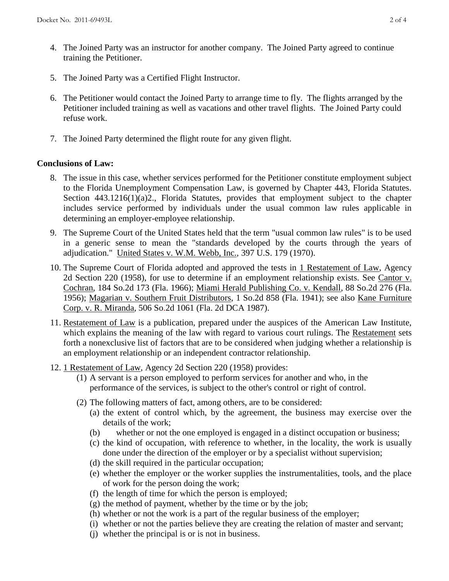- 4. The Joined Party was an instructor for another company. The Joined Party agreed to continue training the Petitioner.
- 5. The Joined Party was a Certified Flight Instructor.
- 6. The Petitioner would contact the Joined Party to arrange time to fly. The flights arranged by the Petitioner included training as well as vacations and other travel flights. The Joined Party could refuse work.
- 7. The Joined Party determined the flight route for any given flight.

## **Conclusions of Law:**

- 8. The issue in this case, whether services performed for the Petitioner constitute employment subject to the Florida Unemployment Compensation Law, is governed by Chapter 443, Florida Statutes. Section 443.1216(1)(a)2., Florida Statutes, provides that employment subject to the chapter includes service performed by individuals under the usual common law rules applicable in determining an employer-employee relationship.
- 9. The Supreme Court of the United States held that the term "usual common law rules" is to be used in a generic sense to mean the "standards developed by the courts through the years of adjudication." United States v. W.M. Webb, Inc., 397 U.S. 179 (1970).
- 10. The Supreme Court of Florida adopted and approved the tests in 1 Restatement of Law, Agency 2d Section 220 (1958), for use to determine if an employment relationship exists. See Cantor v. Cochran, 184 So.2d 173 (Fla. 1966); Miami Herald Publishing Co. v. Kendall, 88 So.2d 276 (Fla. 1956); Magarian v. Southern Fruit Distributors, 1 So.2d 858 (Fla. 1941); see also Kane Furniture Corp. v. R. Miranda, 506 So.2d 1061 (Fla. 2d DCA 1987).
- 11. Restatement of Law is a publication, prepared under the auspices of the American Law Institute, which explains the meaning of the law with regard to various court rulings. The Restatement sets forth a nonexclusive list of factors that are to be considered when judging whether a relationship is an employment relationship or an independent contractor relationship.
- 12. 1 Restatement of Law, Agency 2d Section 220 (1958) provides:
	- (1) A servant is a person employed to perform services for another and who, in the performance of the services, is subject to the other's control or right of control.
	- (2) The following matters of fact, among others, are to be considered:
		- (a) the extent of control which, by the agreement, the business may exercise over the details of the work;
		- (b) whether or not the one employed is engaged in a distinct occupation or business;
		- (c) the kind of occupation, with reference to whether, in the locality, the work is usually done under the direction of the employer or by a specialist without supervision;
		- (d) the skill required in the particular occupation;
		- (e) whether the employer or the worker supplies the instrumentalities, tools, and the place of work for the person doing the work;
		- (f) the length of time for which the person is employed;
		- $(g)$  the method of payment, whether by the time or by the job;
		- (h) whether or not the work is a part of the regular business of the employer;
		- (i) whether or not the parties believe they are creating the relation of master and servant;
		- (j) whether the principal is or is not in business.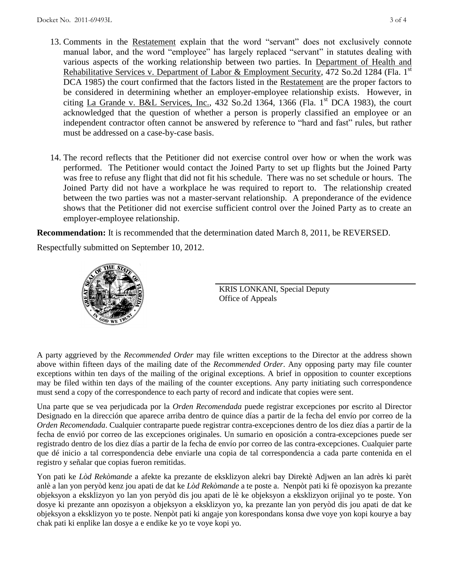- 13. Comments in the Restatement explain that the word "servant" does not exclusively connote manual labor, and the word "employee" has largely replaced "servant" in statutes dealing with various aspects of the working relationship between two parties. In Department of Health and Rehabilitative Services v. Department of Labor & Employment Security, 472 So.2d 1284 (Fla. 1<sup>st</sup>) DCA 1985) the court confirmed that the factors listed in the Restatement are the proper factors to be considered in determining whether an employer-employee relationship exists. However, in citing La Grande v. B&L Services, Inc.,  $432$  So.2d  $1364$ ,  $1366$  (Fla. 1<sup>st</sup> DCA 1983), the court acknowledged that the question of whether a person is properly classified an employee or an independent contractor often cannot be answered by reference to "hard and fast" rules, but rather must be addressed on a case-by-case basis.
- 14. The record reflects that the Petitioner did not exercise control over how or when the work was performed. The Petitioner would contact the Joined Party to set up flights but the Joined Party was free to refuse any flight that did not fit his schedule. There was no set schedule or hours. The Joined Party did not have a workplace he was required to report to. The relationship created between the two parties was not a master-servant relationship. A preponderance of the evidence shows that the Petitioner did not exercise sufficient control over the Joined Party as to create an employer-employee relationship.

**Recommendation:** It is recommended that the determination dated March 8, 2011, be REVERSED.

Respectfully submitted on September 10, 2012.



KRIS LONKANI, Special Deputy Office of Appeals

A party aggrieved by the *Recommended Order* may file written exceptions to the Director at the address shown above within fifteen days of the mailing date of the *Recommended Order*. Any opposing party may file counter exceptions within ten days of the mailing of the original exceptions. A brief in opposition to counter exceptions may be filed within ten days of the mailing of the counter exceptions. Any party initiating such correspondence must send a copy of the correspondence to each party of record and indicate that copies were sent.

Una parte que se vea perjudicada por la *Orden Recomendada* puede registrar excepciones por escrito al Director Designado en la dirección que aparece arriba dentro de quince días a partir de la fecha del envío por correo de la *Orden Recomendada*. Cualquier contraparte puede registrar contra-excepciones dentro de los diez días a partir de la fecha de envió por correo de las excepciones originales. Un sumario en oposición a contra-excepciones puede ser registrado dentro de los diez días a partir de la fecha de envío por correo de las contra-excepciones. Cualquier parte que dé inicio a tal correspondencia debe enviarle una copia de tal correspondencia a cada parte contenida en el registro y señalar que copias fueron remitidas.

Yon pati ke *Lòd Rekòmande* a afekte ka prezante de eksklizyon alekri bay Direktè Adjwen an lan adrès ki parèt anlè a lan yon peryòd kenz jou apati de dat ke *Lòd Rekòmande* a te poste a. Nenpòt pati ki fè opozisyon ka prezante objeksyon a eksklizyon yo lan yon peryòd dis jou apati de lè ke objeksyon a eksklizyon orijinal yo te poste. Yon dosye ki prezante ann opozisyon a objeksyon a eksklizyon yo, ka prezante lan yon peryòd dis jou apati de dat ke objeksyon a eksklizyon yo te poste. Nenpòt pati ki angaje yon korespondans konsa dwe voye yon kopi kourye a bay chak pati ki enplike lan dosye a e endike ke yo te voye kopi yo.